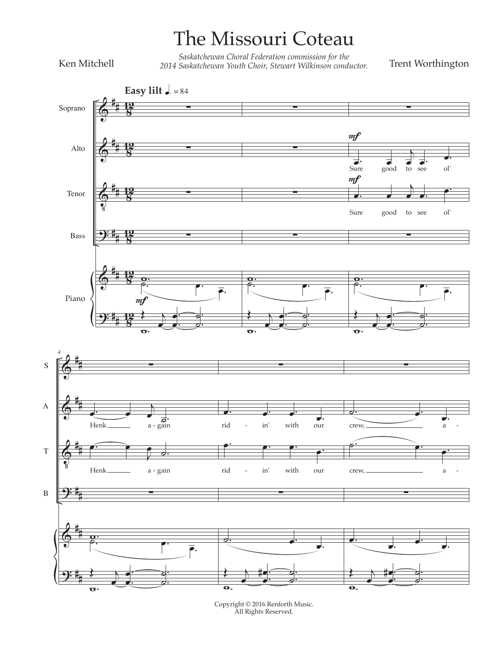## The Missouri Coteau

Ken Mitchell

Saskatchewan Choral Federation commission for the<br>2014 Saskatchewan Youth Choir, Stewart Wilkinson conductor.

Trent Worthington



 $\begin{array}{c} \mbox{Copyright} \textcircled{\small{2016}} \mbox{ Renforth Music.} \\ \mbox{All Rights Research.} \end{array}$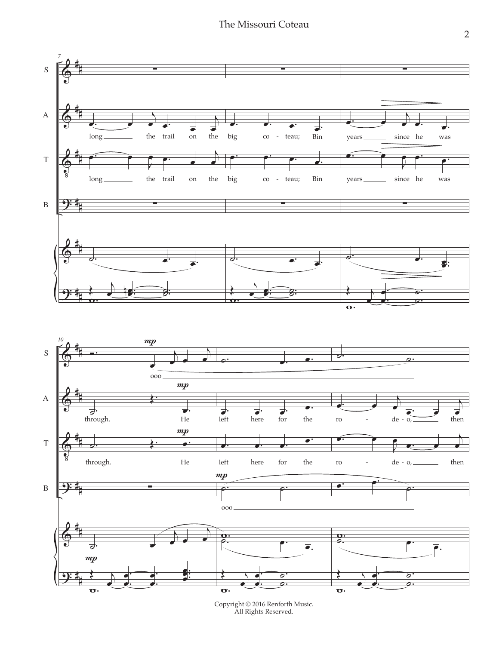The Missouri Coteau



 $\begin{array}{c} \mbox{Copyright} \textcircled{\small{2016}} \mbox{ Renforth Music.} \\ \mbox{All Rights Research.} \end{array}$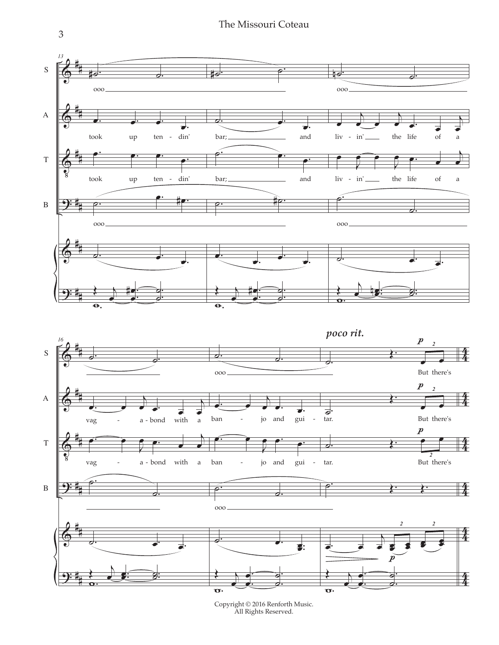The Missouri Coteau



 $\begin{array}{c} \mbox{Copyright} \textcircled{\small{2016}} \mbox{ Renforth Music.} \\ \mbox{All Rights Research.} \end{array}$ 

 $\overline{3}$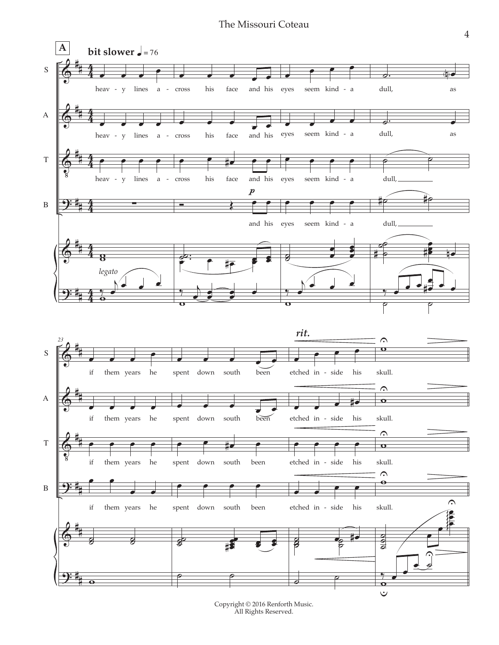## The Missouri Coteau



Copyright © 2016 Renforth Music. All Rights Reserved.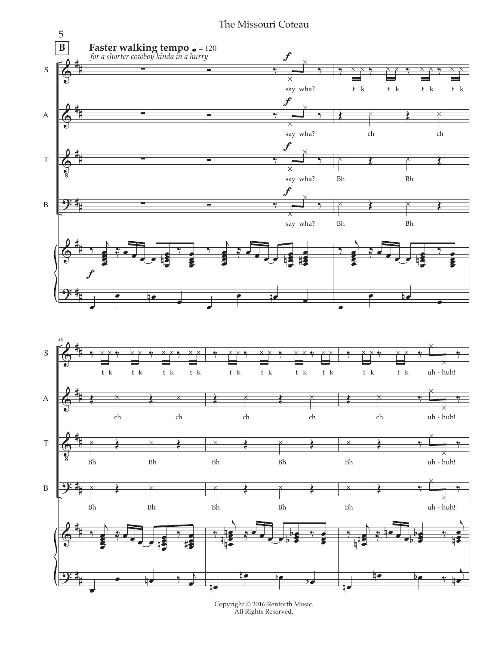

 $\begin{array}{c} \mbox{Copyright} \textcircled{\small{2016}} \mbox{ Renforth Music.} \\ \mbox{All Rights Research.} \end{array}$